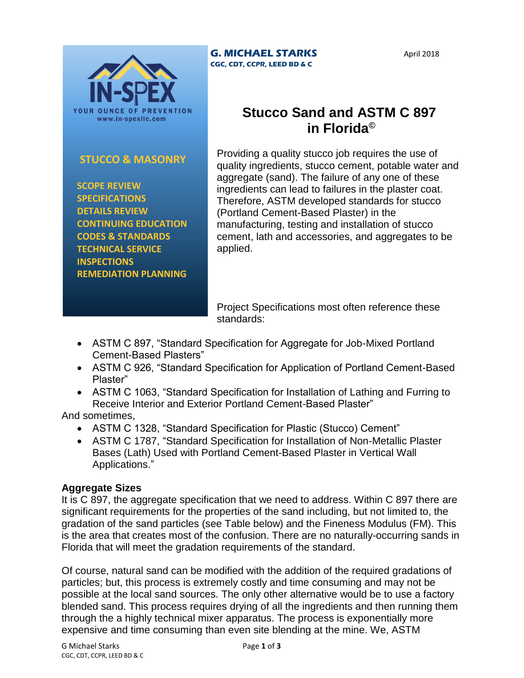

## **STUCCO & MASONRY**

 **SCOPE REVIEW SPECIFICATIONS DETAILS REVIEW CONTINUING EDUCATION CODES & STANDARDS TECHNICAL SERVICE INSPECTIONS REMEDIATION PLANNING**

#### **G. MICHAEL STARKS CGC, CDT, CCPR, LEED BD & C**

April 2018

# **Stucco Sand and ASTM C 897 in Florida©**

Providing a quality stucco job requires the use of quality ingredients, stucco cement, potable water and aggregate (sand). The failure of any one of these ingredients can lead to failures in the plaster coat. Therefore, ASTM developed standards for stucco (Portland Cement-Based Plaster) in the manufacturing, testing and installation of stucco cement, lath and accessories, and aggregates to be applied.

Project Specifications most often reference these standards:

- ASTM C 897, "Standard Specification for Aggregate for Job-Mixed Portland Cement-Based Plasters"
- ASTM C 926, "Standard Specification for Application of Portland Cement-Based Plaster"
- ASTM C 1063, "Standard Specification for Installation of Lathing and Furring to Receive Interior and Exterior Portland Cement-Based Plaster"

And sometimes,

- ASTM C 1328, "Standard Specification for Plastic (Stucco) Cement"
- ASTM C 1787, "Standard Specification for Installation of Non-Metallic Plaster Bases (Lath) Used with Portland Cement-Based Plaster in Vertical Wall Applications."

## **Aggregate Sizes**

It is C 897, the aggregate specification that we need to address. Within C 897 there are significant requirements for the properties of the sand including, but not limited to, the gradation of the sand particles (see Table below) and the Fineness Modulus (FM). This is the area that creates most of the confusion. There are no naturally-occurring sands in Florida that will meet the gradation requirements of the standard.

Of course, natural sand can be modified with the addition of the required gradations of particles; but, this process is extremely costly and time consuming and may not be possible at the local sand sources. The only other alternative would be to use a factory blended sand. This process requires drying of all the ingredients and then running them through the a highly technical mixer apparatus. The process is exponentially more expensive and time consuming than even site blending at the mine. We, ASTM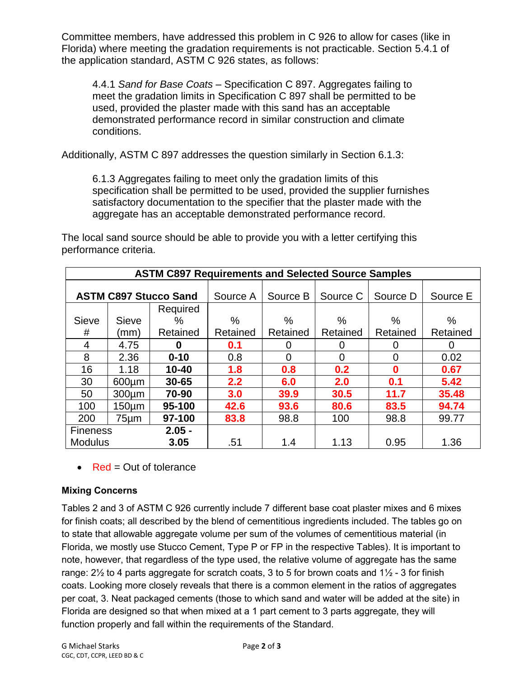Committee members, have addressed this problem in C 926 to allow for cases (like in Florida) where meeting the gradation requirements is not practicable. Section 5.4.1 of the application standard, ASTM C 926 states, as follows:

4.4.1 *Sand for Base Coats* – Specification C 897. Aggregates failing to meet the gradation limits in Specification C 897 shall be permitted to be used, provided the plaster made with this sand has an acceptable demonstrated performance record in similar construction and climate conditions.

Additionally, ASTM C 897 addresses the question similarly in Section 6.1.3:

6.1.3 Aggregates failing to meet only the gradation limits of this specification shall be permitted to be used, provided the supplier furnishes satisfactory documentation to the specifier that the plaster made with the aggregate has an acceptable demonstrated performance record.

The local sand source should be able to provide you with a letter certifying this performance criteria.

| <b>ASTM C897 Requirements and Selected Source Samples</b> |                  |           |          |                |          |          |          |
|-----------------------------------------------------------|------------------|-----------|----------|----------------|----------|----------|----------|
|                                                           |                  |           |          |                |          |          |          |
| <b>ASTM C897 Stucco Sand</b>                              |                  |           | Source A | Source B       | Source C | Source D | Source E |
|                                                           |                  | Required  |          |                |          |          |          |
| <b>Sieve</b>                                              | Sieve            | %         | $\%$     | %              | %        | %        | %        |
| #                                                         | (mm)             | Retained  | Retained | Retained       | Retained | Retained | Retained |
| 4                                                         | 4.75             | 0         | 0.1      | 0              | 0        | 0        | 0        |
| 8                                                         | 2.36             | $0 - 10$  | 0.8      | $\overline{0}$ | 0        | 0        | 0.02     |
| 16                                                        | 1.18             | $10 - 40$ | 1.8      | 0.8            | 0.2      | O        | 0.67     |
| 30                                                        | $600 \mu m$      | $30 - 65$ | 2.2      | 6.0            | 2.0      | 0.1      | 5.42     |
| 50                                                        | 300 <sub>µ</sub> | 70-90     | 3.0      | 39.9           | 30.5     | 11.7     | 35.48    |
| 100                                                       | $150 \mu m$      | 95-100    | 42.6     | 93.6           | 80.6     | 83.5     | 94.74    |
| 200                                                       | 75µm             | 97-100    | 83.8     | 98.8           | 100      | 98.8     | 99.77    |
| $2.05 -$<br><b>Fineness</b>                               |                  |           |          |                |          |          |          |
| <b>Modulus</b>                                            |                  | 3.05      | .51      | 1.4            | 1.13     | 0.95     | 1.36     |

 $\bullet$  Red = Out of tolerance

#### **Mixing Concerns**

Tables 2 and 3 of ASTM C 926 currently include 7 different base coat plaster mixes and 6 mixes for finish coats; all described by the blend of cementitious ingredients included. The tables go on to state that allowable aggregate volume per sum of the volumes of cementitious material (in Florida, we mostly use Stucco Cement, Type P or FP in the respective Tables). It is important to note, however, that regardless of the type used, the relative volume of aggregate has the same range:  $2\frac{1}{2}$  to 4 parts aggregate for scratch coats, 3 to 5 for brown coats and  $1\frac{1}{2}$  - 3 for finish coats. Looking more closely reveals that there is a common element in the ratios of aggregates per coat, 3. Neat packaged cements (those to which sand and water will be added at the site) in Florida are designed so that when mixed at a 1 part cement to 3 parts aggregate, they will function properly and fall within the requirements of the Standard.